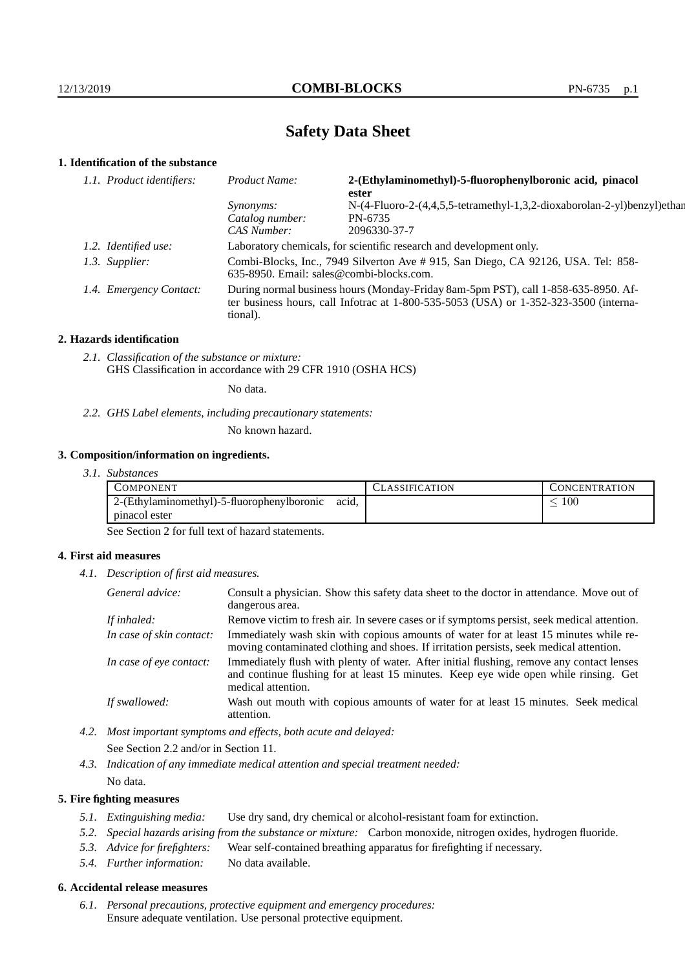# **Safety Data Sheet**

# **1. Identification of the substance**

| 1.1. Product identifiers: | Product Name:                                                                                                                                                                           | 2-(Ethylaminomethyl)-5-fluorophenylboronic acid, pinacol<br>ester       |
|---------------------------|-----------------------------------------------------------------------------------------------------------------------------------------------------------------------------------------|-------------------------------------------------------------------------|
|                           | <i>Synonyms:</i>                                                                                                                                                                        | N-(4-Fluoro-2-(4,4,5,5-tetramethyl-1,3,2-dioxaborolan-2-yl)benzyl)ethan |
|                           | Catalog number:                                                                                                                                                                         | PN-6735                                                                 |
|                           | CAS Number:                                                                                                                                                                             | 2096330-37-7                                                            |
| 1.2. Identified use:      | Laboratory chemicals, for scientific research and development only.                                                                                                                     |                                                                         |
| 1.3. Supplier:            | Combi-Blocks, Inc., 7949 Silverton Ave # 915, San Diego, CA 92126, USA. Tel: 858-<br>$635-8950$ . Email: sales@combi-blocks.com.                                                        |                                                                         |
| 1.4. Emergency Contact:   | During normal business hours (Monday-Friday 8am-5pm PST), call 1-858-635-8950. Af-<br>ter business hours, call Infotrac at 1-800-535-5053 (USA) or 1-352-323-3500 (interna-<br>tional). |                                                                         |

### **2. Hazards identification**

*2.1. Classification of the substance or mixture:* GHS Classification in accordance with 29 CFR 1910 (OSHA HCS)

No data.

*2.2. GHS Label elements, including precautionary statements:*

No known hazard.

### **3. Composition/information on ingredients.**

*3.1. Substances*

| COMPONENT                                  |       | <b>ASSIFICATION</b> | <b>CONCENTRATION</b> |
|--------------------------------------------|-------|---------------------|----------------------|
| 2-(Ethylaminomethyl)-5-fluorophenylboronic | acid, |                     | 100                  |
| pinacol ester                              |       |                     |                      |

See Section 2 for full text of hazard statements.

### **4. First aid measures**

*4.1. Description of first aid measures.*

| General advice:          | Consult a physician. Show this safety data sheet to the doctor in attendance. Move out of<br>dangerous area.                                                                                            |
|--------------------------|---------------------------------------------------------------------------------------------------------------------------------------------------------------------------------------------------------|
| If inhaled:              | Remove victim to fresh air. In severe cases or if symptoms persist, seek medical attention.                                                                                                             |
| In case of skin contact: | Immediately wash skin with copious amounts of water for at least 15 minutes while re-<br>moving contaminated clothing and shoes. If irritation persists, seek medical attention.                        |
| In case of eye contact:  | Immediately flush with plenty of water. After initial flushing, remove any contact lenses<br>and continue flushing for at least 15 minutes. Keep eye wide open while rinsing. Get<br>medical attention. |
| If swallowed:            | Wash out mouth with copious amounts of water for at least 15 minutes. Seek medical<br>attention.                                                                                                        |

*4.2. Most important symptoms and effects, both acute and delayed:* See Section 2.2 and/or in Section 11.

*4.3. Indication of any immediate medical attention and special treatment needed:* No data.

### **5. Fire fighting measures**

- *5.1. Extinguishing media:* Use dry sand, dry chemical or alcohol-resistant foam for extinction.
- *5.2. Special hazards arising from the substance or mixture:* Carbon monoxide, nitrogen oxides, hydrogen fluoride.
- *5.3. Advice for firefighters:* Wear self-contained breathing apparatus for firefighting if necessary.
- *5.4. Further information:* No data available.

### **6. Accidental release measures**

*6.1. Personal precautions, protective equipment and emergency procedures:* Ensure adequate ventilation. Use personal protective equipment.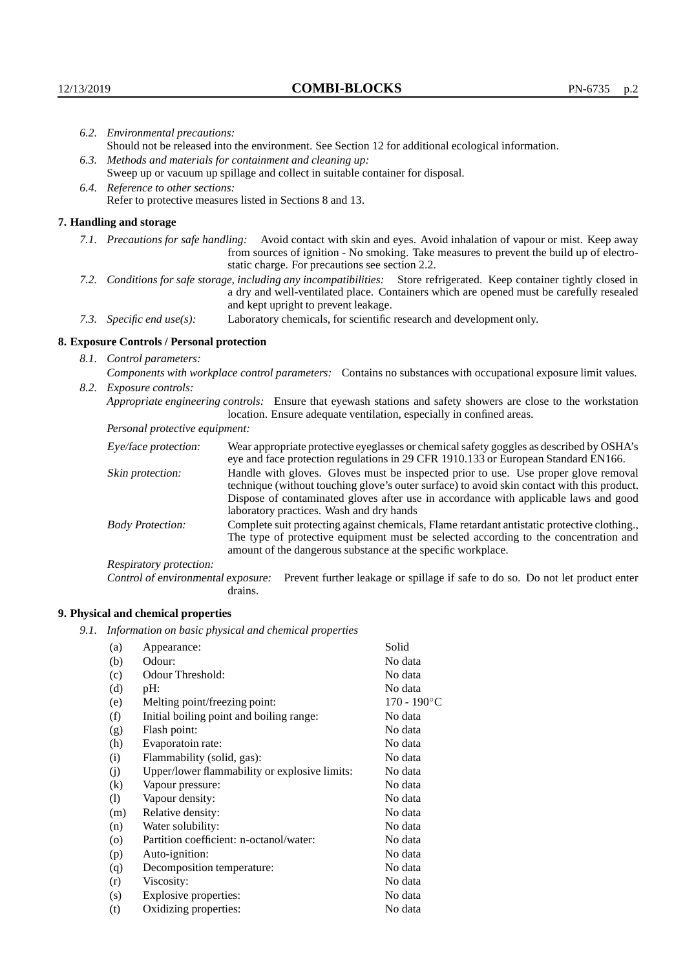|  | 6.2. Environmental precautions:                                                                                                                                                                                                                            |                                                                                                                                                                                                                                                                            |  |  |  |
|--|------------------------------------------------------------------------------------------------------------------------------------------------------------------------------------------------------------------------------------------------------------|----------------------------------------------------------------------------------------------------------------------------------------------------------------------------------------------------------------------------------------------------------------------------|--|--|--|
|  | Should not be released into the environment. See Section 12 for additional ecological information.                                                                                                                                                         |                                                                                                                                                                                                                                                                            |  |  |  |
|  | 6.3. Methods and materials for containment and cleaning up:                                                                                                                                                                                                |                                                                                                                                                                                                                                                                            |  |  |  |
|  |                                                                                                                                                                                                                                                            | Sweep up or vacuum up spillage and collect in suitable container for disposal.                                                                                                                                                                                             |  |  |  |
|  | 6.4. Reference to other sections:                                                                                                                                                                                                                          |                                                                                                                                                                                                                                                                            |  |  |  |
|  |                                                                                                                                                                                                                                                            | Refer to protective measures listed in Sections 8 and 13.                                                                                                                                                                                                                  |  |  |  |
|  | 7. Handling and storage                                                                                                                                                                                                                                    |                                                                                                                                                                                                                                                                            |  |  |  |
|  |                                                                                                                                                                                                                                                            | 7.1. Precautions for safe handling: Avoid contact with skin and eyes. Avoid inhalation of vapour or mist. Keep away<br>from sources of ignition - No smoking. Take measures to prevent the build up of electro-<br>static charge. For precautions see section 2.2.         |  |  |  |
|  | 7.2. Conditions for safe storage, including any incompatibilities: Store refrigerated. Keep container tightly closed in<br>a dry and well-ventilated place. Containers which are opened must be carefully resealed<br>and kept upright to prevent leakage. |                                                                                                                                                                                                                                                                            |  |  |  |
|  | 7.3. Specific end use(s):                                                                                                                                                                                                                                  | Laboratory chemicals, for scientific research and development only.                                                                                                                                                                                                        |  |  |  |
|  | 8. Exposure Controls / Personal protection                                                                                                                                                                                                                 |                                                                                                                                                                                                                                                                            |  |  |  |
|  | 8.1. Control parameters:                                                                                                                                                                                                                                   |                                                                                                                                                                                                                                                                            |  |  |  |
|  | Components with workplace control parameters: Contains no substances with occupational exposure limit values.                                                                                                                                              |                                                                                                                                                                                                                                                                            |  |  |  |
|  | 8.2. Exposure controls:                                                                                                                                                                                                                                    |                                                                                                                                                                                                                                                                            |  |  |  |
|  | Appropriate engineering controls: Ensure that eyewash stations and safety showers are close to the workstation<br>location. Ensure adequate ventilation, especially in confined areas.                                                                     |                                                                                                                                                                                                                                                                            |  |  |  |
|  | Personal protective equipment:                                                                                                                                                                                                                             |                                                                                                                                                                                                                                                                            |  |  |  |
|  | Eye/face protection:                                                                                                                                                                                                                                       | Wear appropriate protective eyeglasses or chemical safety goggles as described by OSHA's<br>eye and face protection regulations in 29 CFR 1910.133 or European Standard EN166.                                                                                             |  |  |  |
|  | Skin protection:                                                                                                                                                                                                                                           | Handle with gloves. Gloves must be inspected prior to use. Use proper glove removal<br>technique (without touching glove's outer surface) to avoid skin contact with this product.<br>Dispose of contaminated gloves after use in accordance with applicable laws and good |  |  |  |

### **8. Exposure Controls / Personal protection**

| Eye/face protection:               | Wear appropriate protective eyeglasses or chemical safety goggles as described by OSHA's<br>eye and face protection regulations in 29 CFR 1910.133 or European Standard EN166.                                                                                                                                         |                                                                                |  |
|------------------------------------|------------------------------------------------------------------------------------------------------------------------------------------------------------------------------------------------------------------------------------------------------------------------------------------------------------------------|--------------------------------------------------------------------------------|--|
| Skin protection:                   | Handle with gloves. Gloves must be inspected prior to use. Use proper glove removal<br>technique (without touching glove's outer surface) to avoid skin contact with this product.<br>Dispose of contaminated gloves after use in accordance with applicable laws and good<br>laboratory practices. Wash and dry hands |                                                                                |  |
| <b>Body Protection:</b>            | Complete suit protecting against chemicals, Flame retardant antistatic protective clothing.,<br>The type of protective equipment must be selected according to the concentration and<br>amount of the dangerous substance at the specific workplace.                                                                   |                                                                                |  |
| Respiratory protection:            |                                                                                                                                                                                                                                                                                                                        |                                                                                |  |
| Control of environmental exposure: | drains.                                                                                                                                                                                                                                                                                                                | Prevent further leakage or spillage if safe to do so. Do not let product enter |  |

# **9. Physical and chemical properties**

*9.1. Information on basic physical and chemical properties*

| (a)      | Appearance:                                   | Solid                |
|----------|-----------------------------------------------|----------------------|
|          | Odour:                                        | No data              |
| (b)      |                                               |                      |
| (c)      | Odour Threshold:                              | No data              |
| (d)      | $pH$ :                                        | No data              |
| (e)      | Melting point/freezing point:                 | $170 - 190^{\circ}C$ |
| (f)      | Initial boiling point and boiling range:      | No data              |
| (g)      | Flash point:                                  | No data              |
| (h)      | Evaporatoin rate:                             | No data              |
| (i)      | Flammability (solid, gas):                    | No data              |
| (j)      | Upper/lower flammability or explosive limits: | No data              |
| $\rm(k)$ | Vapour pressure:                              | No data              |
| (1)      | Vapour density:                               | No data              |
| (m)      | Relative density:                             | No data              |
| (n)      | Water solubility:                             | No data              |
| $\circ$  | Partition coefficient: n-octanol/water:       | No data              |
| (p)      | Auto-ignition:                                | No data              |
| (q)      | Decomposition temperature:                    | No data              |
| (r)      | Viscosity:                                    | No data              |
| (s)      | Explosive properties:                         | No data              |
| (t)      | Oxidizing properties:                         | No data              |
|          |                                               |                      |